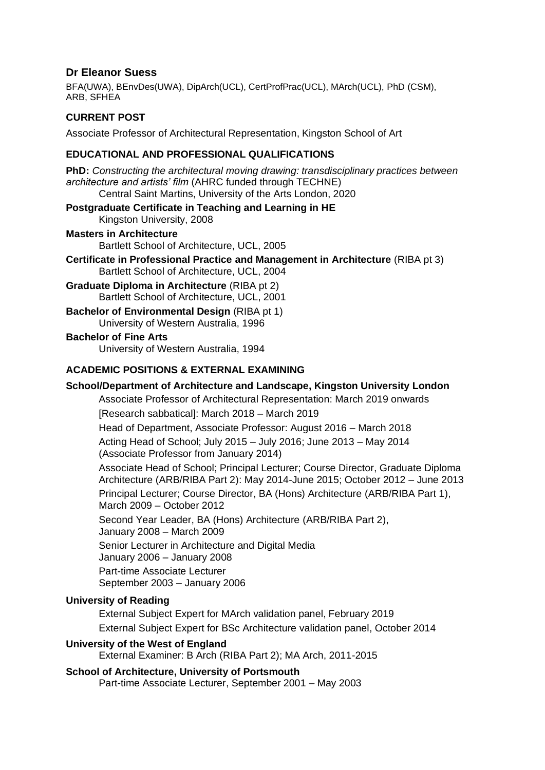# **Dr Eleanor Suess**

BFA(UWA), BEnvDes(UWA), DipArch(UCL), CertProfPrac(UCL), MArch(UCL), PhD (CSM), ARB, SFHEA

# **CURRENT POST**

Associate Professor of Architectural Representation, Kingston School of Art

#### **EDUCATIONAL AND PROFESSIONAL QUALIFICATIONS**

**PhD:** *Constructing the architectural moving drawing: transdisciplinary practices between architecture and artists' film* (AHRC funded through TECHNE)

Central Saint Martins, University of the Arts London, 2020

# **Postgraduate Certificate in Teaching and Learning in HE**

Kingston University, 2008

#### **Masters in Architecture**

Bartlett School of Architecture, UCL, 2005

**Certificate in Professional Practice and Management in Architecture** (RIBA pt 3) Bartlett School of Architecture, UCL, 2004

**Graduate Diploma in Architecture** (RIBA pt 2) Bartlett School of Architecture, UCL, 2001

**Bachelor of Environmental Design (RIBA pt 1)** University of Western Australia, 1996

#### **Bachelor of Fine Arts**

University of Western Australia, 1994

#### **ACADEMIC POSITIONS & EXTERNAL EXAMINING**

# **School/Department of Architecture and Landscape, Kingston University London**

Associate Professor of Architectural Representation: March 2019 onwards [Research sabbatical]: March 2018 – March 2019

Head of Department, Associate Professor: August 2016 – March 2018

Acting Head of School; July 2015 – July 2016; June 2013 – May 2014 (Associate Professor from January 2014)

Associate Head of School; Principal Lecturer; Course Director, Graduate Diploma Architecture (ARB/RIBA Part 2): May 2014-June 2015; October 2012 – June 2013 Principal Lecturer; Course Director, BA (Hons) Architecture (ARB/RIBA Part 1), March 2009 – October 2012

Second Year Leader, BA (Hons) Architecture (ARB/RIBA Part 2),

January 2008 – March 2009

Senior Lecturer in Architecture and Digital Media

January 2006 – January 2008

Part-time Associate Lecturer

September 2003 – January 2006

#### **University of Reading**

External Subject Expert for MArch validation panel, February 2019 External Subject Expert for BSc Architecture validation panel, October 2014

#### **University of the West of England**

External Examiner: B Arch (RIBA Part 2); MA Arch, 2011-2015

#### **School of Architecture, University of Portsmouth**

Part-time Associate Lecturer, September 2001 – May 2003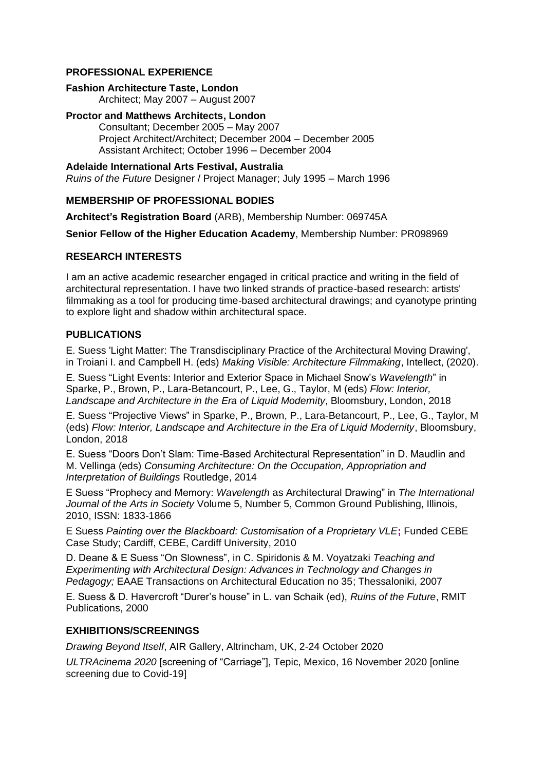#### **PROFESSIONAL EXPERIENCE**

#### **Fashion Architecture Taste, London**

Architect; May 2007 – August 2007

### **Proctor and Matthews Architects, London**

Consultant; December 2005 – May 2007 Project Architect/Architect; December 2004 – December 2005 Assistant Architect; October 1996 – December 2004

#### **Adelaide International Arts Festival, Australia**

*Ruins of the Future* Designer / Project Manager; July 1995 – March 1996

# **MEMBERSHIP OF PROFESSIONAL BODIES**

**Architect's Registration Board** (ARB), Membership Number: 069745A

**Senior Fellow of the Higher Education Academy**, Membership Number: PR098969

#### **RESEARCH INTERESTS**

I am an active academic researcher engaged in critical practice and writing in the field of architectural representation. I have two linked strands of practice-based research: artists' filmmaking as a tool for producing time-based architectural drawings; and cyanotype printing to explore light and shadow within architectural space.

#### **PUBLICATIONS**

E. Suess 'Light Matter: The Transdisciplinary Practice of the Architectural Moving Drawing', in Troiani I. and Campbell H. (eds) *Making Visible: Architecture Filmmaking*, Intellect, (2020).

E. Suess "Light Events: Interior and Exterior Space in Michael Snow's *Wavelength*" in Sparke, P., Brown, P., Lara-Betancourt, P., Lee, G., Taylor, M (eds) *Flow: Interior, Landscape and Architecture in the Era of Liquid Modernity*, Bloomsbury, London, 2018

E. Suess "Projective Views" in Sparke, P., Brown, P., Lara-Betancourt, P., Lee, G., Taylor, M (eds) *Flow: Interior, Landscape and Architecture in the Era of Liquid Modernity*, Bloomsbury, London, 2018

E. Suess "Doors Don't Slam: Time-Based Architectural Representation" in D. Maudlin and M. Vellinga (eds) *Consuming Architecture: On the Occupation, Appropriation and Interpretation of Buildings* Routledge, 2014

E Suess "Prophecy and Memory: *Wavelength* as Architectural Drawing" in *The International Journal of the Arts in Society* Volume 5, Number 5, Common Ground Publishing, Illinois, 2010, ISSN: 1833-1866

E Suess *Painting over the Blackboard: Customisation of a Proprietary VLE***;** Funded CEBE Case Study; Cardiff, CEBE, Cardiff University, 2010

D. Deane & E Suess "On Slowness", in C. Spiridonis & M. Voyatzaki *Teaching and Experimenting with Architectural Design: Advances in Technology and Changes in Pedagogy;* EAAE Transactions on Architectural Education no 35; Thessaloniki, 2007

E. Suess & D. Havercroft "Durer's house" in L. van Schaik (ed), *Ruins of the Future*, RMIT Publications, 2000

# **EXHIBITIONS/SCREENINGS**

*Drawing Beyond Itself*, AIR Gallery, Altrincham, UK, 2-24 October 2020

*ULTRAcinema 2020* [screening of "Carriage"], Tepic, Mexico, 16 November 2020 [online screening due to Covid-19]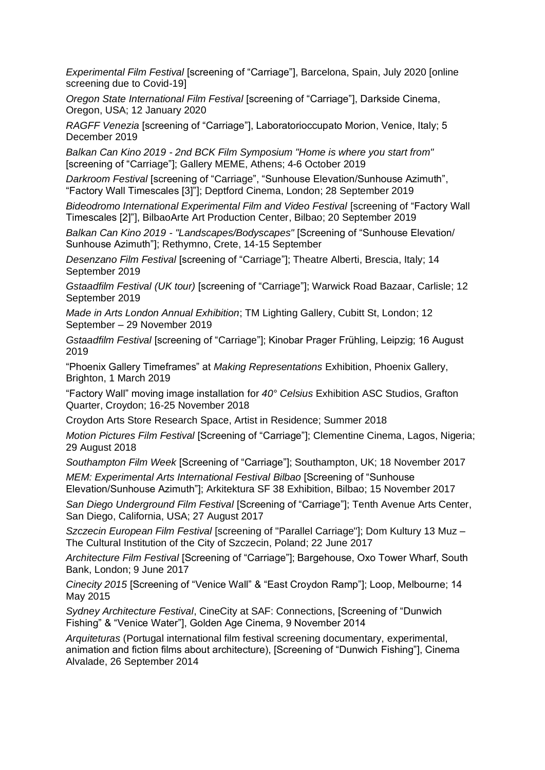*Experimental Film Festival* [screening of "Carriage"], Barcelona, Spain, July 2020 [online screening due to Covid-19]

*Oregon State International Film Festival* [screening of "Carriage"], Darkside Cinema, Oregon, USA; 12 January 2020

*RAGFF Venezia* [screening of "Carriage"], Laboratorioccupato Morion, Venice, Italy; 5 December 2019

*Balkan Can Kino 2019 - 2nd BCK Film Symposium "Home is where you start from"* [screening of "Carriage"]; Gallery MEME, Athens; 4-6 October 2019

*Darkroom Festival* [screening of "Carriage", "Sunhouse Elevation/Sunhouse Azimuth", "Factory Wall Timescales [3]"]; Deptford Cinema, London; 28 September 2019

*Bideodromo International Experimental Film and Video Festival* [screening of "Factory Wall Timescales [2]"], BilbaoArte Art Production Center, Bilbao; 20 September 2019

*Balkan Can Kino 2019 - "Landscapes/Bodyscapes"* [Screening of "Sunhouse Elevation/ Sunhouse Azimuth"]; Rethymno, Crete, 14-15 September

*Desenzano Film Festival* [screening of "Carriage"]; Theatre Alberti, Brescia, Italy; 14 September 2019

*Gstaadfilm Festival (UK tour)* [screening of "Carriage"]; Warwick Road Bazaar, Carlisle; 12 September 2019

*Made in Arts London Annual Exhibition*; TM Lighting Gallery, Cubitt St, London; 12 September – 29 November 2019

*Gstaadfilm Festival* [screening of "Carriage"]; Kinobar Prager Frühling, Leipzig; 16 August 2019

"Phoenix Gallery Timeframes" at *Making Representations* Exhibition, Phoenix Gallery, Brighton, 1 March 2019

"Factory Wall" moving image installation for *40° Celsius* Exhibition ASC Studios, Grafton Quarter, Croydon; 16-25 November 2018

Croydon Arts Store Research Space, Artist in Residence; Summer 2018

*Motion Pictures Film Festival* [Screening of "Carriage"]; Clementine Cinema, Lagos, Nigeria; 29 August 2018

*Southampton Film Week* [Screening of "Carriage"]; Southampton, UK; 18 November 2017

*MEM: Experimental Arts International Festival Bilbao* [Screening of "Sunhouse Elevation/Sunhouse Azimuth"]; Arkitektura SF 38 Exhibition, Bilbao; 15 November 2017

*San Diego Underground Film Festival* [Screening of "Carriage"]; Tenth Avenue Arts Center, San Diego, California, USA; 27 August 2017

*Szczecin European Film Festival* [screening of "Parallel Carriage"]; Dom Kultury 13 Muz – The Cultural Institution of the City of Szczecin, Poland; 22 June 2017

*Architecture Film Festival* [Screening of "Carriage"]; Bargehouse, Oxo Tower Wharf, South Bank, London; 9 June 2017

*Cinecity 2015* [Screening of "Venice Wall" & "East Croydon Ramp"]; Loop, Melbourne; 14 May 2015

*Sydney Architecture Festival*, CineCity at SAF: Connections, [Screening of "Dunwich Fishing" & "Venice Water"], Golden Age Cinema, 9 November 2014

*Arquiteturas* (Portugal international film festival screening documentary, experimental, animation and fiction films about architecture), [Screening of "Dunwich Fishing"], Cinema Alvalade, 26 September 2014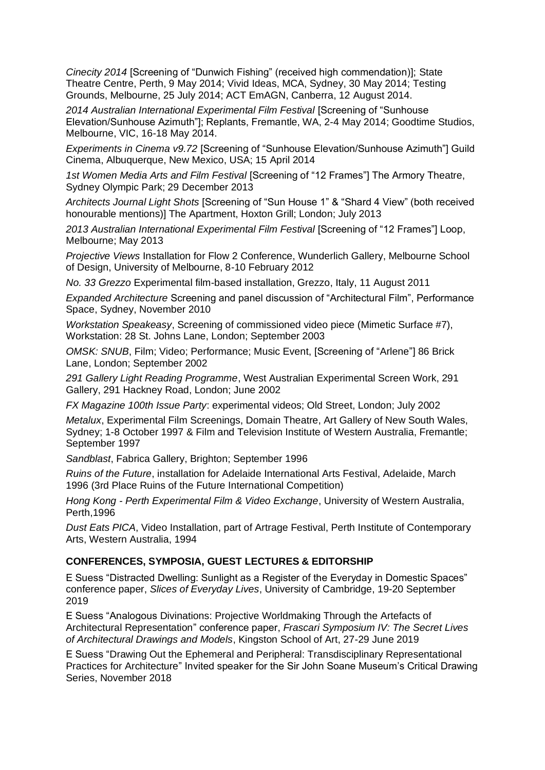*Cinecity 2014* [Screening of "Dunwich Fishing" (received high commendation)]; State Theatre Centre, Perth, 9 May 2014; Vivid Ideas, MCA, Sydney, 30 May 2014; Testing Grounds, Melbourne, 25 July 2014; ACT EmAGN, Canberra, 12 August 2014.

*2014 Australian International Experimental Film Festival* [Screening of "Sunhouse Elevation/Sunhouse Azimuth"]; Replants, Fremantle, WA, 2-4 May 2014; Goodtime Studios, Melbourne, VIC, 16-18 May 2014.

*Experiments in Cinema v9.72* [Screening of "Sunhouse Elevation/Sunhouse Azimuth"] Guild Cinema, Albuquerque, New Mexico, USA; 15 April 2014

1st Women Media Arts and Film Festival [Screening of "12 Frames"] The Armory Theatre, Sydney Olympic Park; 29 December 2013

*Architects Journal Light Shots* [Screening of "Sun House 1" & "Shard 4 View" (both received honourable mentions)] The Apartment, Hoxton Grill; London; July 2013

*2013 Australian International Experimental Film Festival* [Screening of "12 Frames"] Loop, Melbourne; May 2013

*Projective Views* Installation for Flow 2 Conference, Wunderlich Gallery, Melbourne School of Design, University of Melbourne, 8-10 February 2012

*No. 33 Grezzo* Experimental film-based installation, Grezzo, Italy, 11 August 2011

*Expanded Architecture* Screening and panel discussion of "Architectural Film", Performance Space, Sydney, November 2010

*Workstation Speakeasy*, Screening of commissioned video piece (Mimetic Surface #7), Workstation: 28 St. Johns Lane, London; September 2003

*OMSK: SNUB*, Film; Video; Performance; Music Event, [Screening of "Arlene"] 86 Brick Lane, London; September 2002

*291 Gallery Light Reading Programme*, West Australian Experimental Screen Work, 291 Gallery, 291 Hackney Road, London; June 2002

*FX Magazine 100th Issue Party*: experimental videos; Old Street, London; July 2002

*Metalux*, Experimental Film Screenings, Domain Theatre, Art Gallery of New South Wales, Sydney; 1-8 October 1997 & Film and Television Institute of Western Australia, Fremantle; September 1997

*Sandblast*, Fabrica Gallery, Brighton; September 1996

*Ruins of the Future*, installation for Adelaide International Arts Festival, Adelaide, March 1996 (3rd Place Ruins of the Future International Competition)

*Hong Kong - Perth Experimental Film & Video Exchange*, University of Western Australia, Perth,1996

*Dust Eats PICA*, Video Installation, part of Artrage Festival, Perth Institute of Contemporary Arts, Western Australia, 1994

# **CONFERENCES, SYMPOSIA, GUEST LECTURES & EDITORSHIP**

E Suess "Distracted Dwelling: Sunlight as a Register of the Everyday in Domestic Spaces" conference paper, *Slices of Everyday Lives*, University of Cambridge, 19-20 September 2019

E Suess "Analogous Divinations: Projective Worldmaking Through the Artefacts of Architectural Representation" conference paper, *Frascari Symposium IV: The Secret Lives of Architectural Drawings and Models*, Kingston School of Art, 27-29 June 2019

E Suess "Drawing Out the Ephemeral and Peripheral: Transdisciplinary Representational Practices for Architecture" Invited speaker for the Sir John Soane Museum's Critical Drawing Series, November 2018